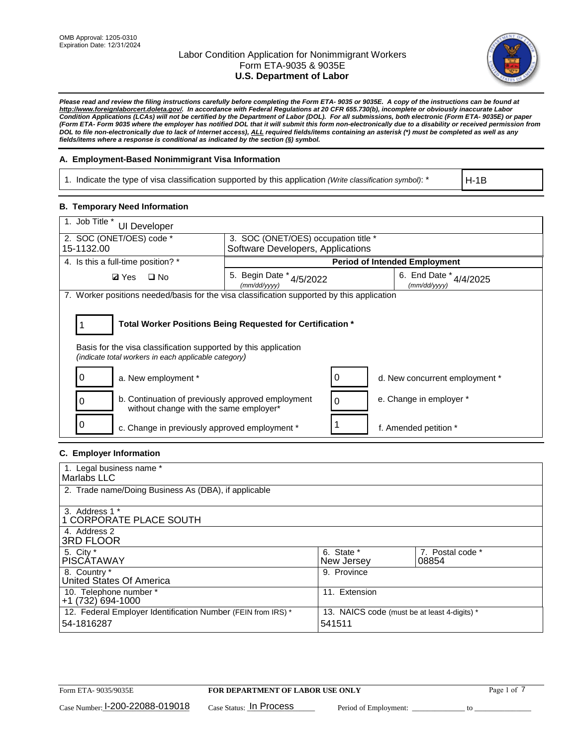

*Please read and review the filing instructions carefully before completing the Form ETA- 9035 or 9035E. A copy of the instructions can be found at http://www.foreignlaborcert.doleta.gov/. In accordance with Federal Regulations at 20 CFR 655.730(b), incomplete or obviously inaccurate Labor Condition Applications (LCAs) will not be certified by the Department of Labor (DOL). For all submissions, both electronic (Form ETA- 9035E) or paper (Form ETA- Form 9035 where the employer has notified DOL that it will submit this form non-electronically due to a disability or received permission from DOL to file non-electronically due to lack of Internet access), ALL required fields/items containing an asterisk (\*) must be completed as well as any fields/items where a response is conditional as indicated by the section (§) symbol.* 

## **A. Employment-Based Nonimmigrant Visa Information**

1. Indicate the type of visa classification supported by this application *(Write classification symbol)*: \*

H-1B

## **B. Temporary Need Information**

| 1. Job Title *<br><b>UI Developer</b>                                                                                                                                                 |                                                                                       |                                      |  |  |  |
|---------------------------------------------------------------------------------------------------------------------------------------------------------------------------------------|---------------------------------------------------------------------------------------|--------------------------------------|--|--|--|
| 2. SOC (ONET/OES) code *<br>15-1132.00                                                                                                                                                | 3. SOC (ONET/OES) occupation title *<br>Software Developers, Applications             |                                      |  |  |  |
|                                                                                                                                                                                       |                                                                                       |                                      |  |  |  |
| 4. Is this a full-time position? *                                                                                                                                                    |                                                                                       | <b>Period of Intended Employment</b> |  |  |  |
| <b>Ø</b> Yes<br>$\square$ No                                                                                                                                                          | 5. Begin Date * 4/5/2022<br>6. End Date *<br>4/4/2025<br>(mm/dd/yyyy)<br>(mm/dd/yyyy) |                                      |  |  |  |
| 7. Worker positions needed/basis for the visa classification supported by this application                                                                                            |                                                                                       |                                      |  |  |  |
| Total Worker Positions Being Requested for Certification *<br>Basis for the visa classification supported by this application<br>(indicate total workers in each applicable category) |                                                                                       |                                      |  |  |  |
| a. New employment *                                                                                                                                                                   |                                                                                       | d. New concurrent employment *       |  |  |  |
| b. Continuation of previously approved employment<br>without change with the same employer*                                                                                           |                                                                                       | e. Change in employer *              |  |  |  |
| c. Change in previously approved employment *                                                                                                                                         |                                                                                       | f. Amended petition *                |  |  |  |

## **C. Employer Information**

| 1. Legal business name *                                                   |                                                        |                           |
|----------------------------------------------------------------------------|--------------------------------------------------------|---------------------------|
| Marlabs LLC                                                                |                                                        |                           |
| 2. Trade name/Doing Business As (DBA), if applicable                       |                                                        |                           |
| 3. Address 1 *<br>1 CORPORATE PLACE SOUTH<br>4. Address 2                  |                                                        |                           |
| <b>3RD FLOOR</b>                                                           |                                                        |                           |
| 5. City *<br><b>PISCÁTAWAY</b>                                             | 6. State *<br>New Jersey                               | 7. Postal code *<br>08854 |
| 8. Country *<br>United States Of America                                   | 9. Province                                            |                           |
| 10. Telephone number *<br>$+1(732)694-1000$                                | 11. Extension                                          |                           |
| 12. Federal Employer Identification Number (FEIN from IRS) *<br>54-1816287 | 13. NAICS code (must be at least 4-digits) *<br>541511 |                           |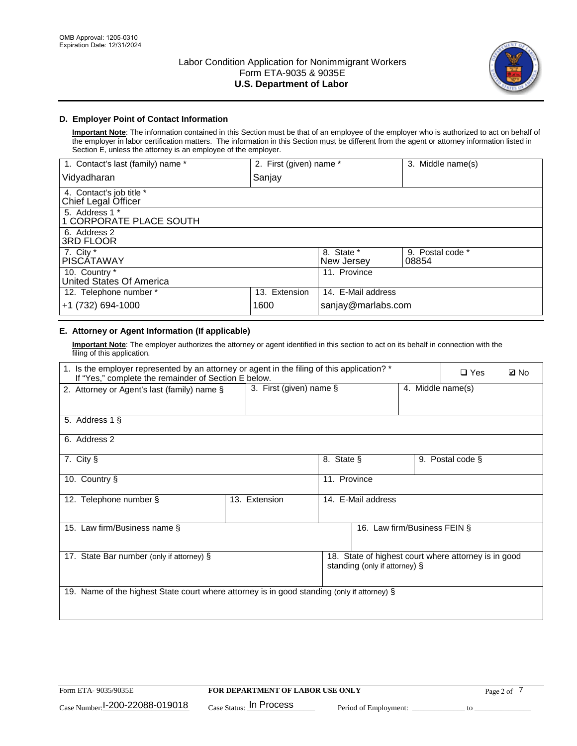

## **D. Employer Point of Contact Information**

**Important Note**: The information contained in this Section must be that of an employee of the employer who is authorized to act on behalf of the employer in labor certification matters. The information in this Section must be different from the agent or attorney information listed in Section E, unless the attorney is an employee of the employer.

| 1. Contact's last (family) name *               | 2. First (given) name * |                          | 3. Middle name(s)         |
|-------------------------------------------------|-------------------------|--------------------------|---------------------------|
| Vidyadharan                                     | Sanjay                  |                          |                           |
| 4. Contact's job title *<br>Chief Legal Officer |                         |                          |                           |
| 5. Address 1 *<br>1 CORPORATE PLACE SOUTH       |                         |                          |                           |
| 6. Address 2<br><b>3RD FLOOR</b>                |                         |                          |                           |
| 7. City *<br><b>PISCÁTAWAY</b>                  |                         | 8. State *<br>New Jersey | 9. Postal code *<br>08854 |
| 10. Country *<br>United States Of America       |                         | 11. Province             |                           |
| 12. Telephone number *                          | 13. Extension           | 14. E-Mail address       |                           |
| +1 (732) 694-1000                               | 1600                    | sanjay@marlabs.com       |                           |

# **E. Attorney or Agent Information (If applicable)**

**Important Note**: The employer authorizes the attorney or agent identified in this section to act on its behalf in connection with the filing of this application.

| 1. Is the employer represented by an attorney or agent in the filing of this application? *<br>If "Yes," complete the remainder of Section E below. |                                                 | $\Box$ Yes         | <b>ØNo</b>                    |  |                                                      |  |
|-----------------------------------------------------------------------------------------------------------------------------------------------------|-------------------------------------------------|--------------------|-------------------------------|--|------------------------------------------------------|--|
| 2. Attorney or Agent's last (family) name §                                                                                                         | 3. First (given) name $\S$<br>4. Middle name(s) |                    |                               |  |                                                      |  |
| 5. Address 1 §                                                                                                                                      |                                                 |                    |                               |  |                                                      |  |
| 6. Address 2                                                                                                                                        |                                                 |                    |                               |  |                                                      |  |
| 7. City §                                                                                                                                           |                                                 | 8. State §         |                               |  | 9. Postal code §                                     |  |
| 10. Country §                                                                                                                                       |                                                 | 11. Province       |                               |  |                                                      |  |
| 12. Telephone number §                                                                                                                              | 13. Extension                                   | 14. E-Mail address |                               |  |                                                      |  |
| 15. Law firm/Business name §                                                                                                                        |                                                 |                    | 16. Law firm/Business FEIN §  |  |                                                      |  |
| 17. State Bar number (only if attorney) §                                                                                                           |                                                 |                    | standing (only if attorney) § |  | 18. State of highest court where attorney is in good |  |
| 19. Name of the highest State court where attorney is in good standing (only if attorney) §                                                         |                                                 |                    |                               |  |                                                      |  |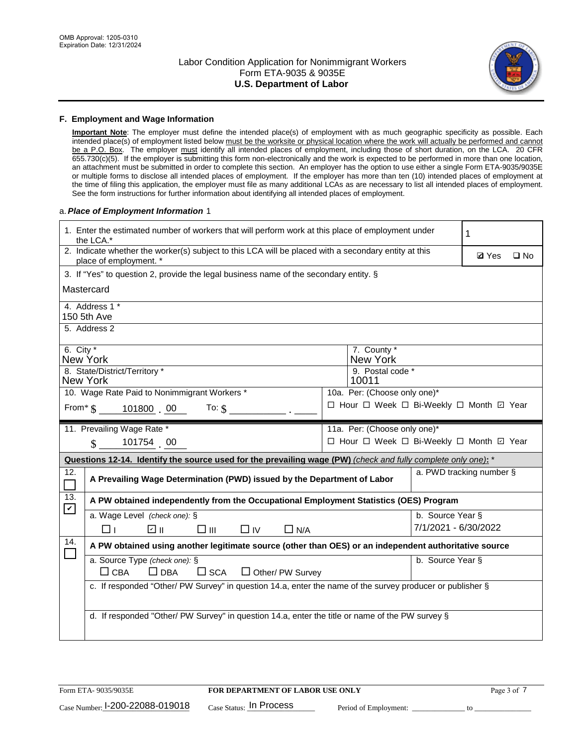

### **F. Employment and Wage Information**

**Important Note**: The employer must define the intended place(s) of employment with as much geographic specificity as possible. Each intended place(s) of employment listed below must be the worksite or physical location where the work will actually be performed and cannot be a P.O. Box. The employer must identify all intended places of employment, including those of short duration, on the LCA. 20 CFR 655.730(c)(5). If the employer is submitting this form non-electronically and the work is expected to be performed in more than one location, an attachment must be submitted in order to complete this section. An employer has the option to use either a single Form ETA-9035/9035E or multiple forms to disclose all intended places of employment. If the employer has more than ten (10) intended places of employment at the time of filing this application, the employer must file as many additional LCAs as are necessary to list all intended places of employment. See the form instructions for further information about identifying all intended places of employment.

### a.*Place of Employment Information* 1

|                                              | 1. Enter the estimated number of workers that will perform work at this place of employment under<br>the LCA.*                 |  | 1                                        |                      |                          |              |  |  |
|----------------------------------------------|--------------------------------------------------------------------------------------------------------------------------------|--|------------------------------------------|----------------------|--------------------------|--------------|--|--|
|                                              | 2. Indicate whether the worker(s) subject to this LCA will be placed with a secondary entity at this<br>place of employment. * |  |                                          |                      | <b>Ø</b> Yes             | $\square$ No |  |  |
|                                              | 3. If "Yes" to question 2, provide the legal business name of the secondary entity. §                                          |  |                                          |                      |                          |              |  |  |
|                                              | Mastercard                                                                                                                     |  |                                          |                      |                          |              |  |  |
|                                              | 4. Address 1 *<br>150 5th Ave                                                                                                  |  |                                          |                      |                          |              |  |  |
|                                              | 5. Address 2                                                                                                                   |  |                                          |                      |                          |              |  |  |
|                                              | 6. City $*$<br>7. County *<br>New York<br>New York                                                                             |  |                                          |                      |                          |              |  |  |
|                                              | 8. State/District/Territory *<br><b>New York</b>                                                                               |  | 9. Postal code *<br>10011                |                      |                          |              |  |  |
| 10. Wage Rate Paid to Nonimmigrant Workers * |                                                                                                                                |  | 10a. Per: (Choose only one)*             |                      |                          |              |  |  |
|                                              | □ Hour □ Week □ Bi-Weekly □ Month ☑ Year<br>From $\frac{1}{5}$ 101800 00<br>To: $\mathsf{\$}$                                  |  |                                          |                      |                          |              |  |  |
|                                              | 11. Prevailing Wage Rate *                                                                                                     |  | 11a. Per: (Choose only one)*             |                      |                          |              |  |  |
|                                              | 101754 00<br>$\mathbf{\$}$                                                                                                     |  | □ Hour □ Week □ Bi-Weekly □ Month ☑ Year |                      |                          |              |  |  |
|                                              | Questions 12-14. Identify the source used for the prevailing wage (PW) (check and fully complete only one): *                  |  |                                          |                      |                          |              |  |  |
| 12.                                          | A Prevailing Wage Determination (PWD) issued by the Department of Labor                                                        |  |                                          |                      | a. PWD tracking number § |              |  |  |
| 13.                                          | A PW obtained independently from the Occupational Employment Statistics (OES) Program                                          |  |                                          |                      |                          |              |  |  |
| $\mathbf v$                                  | a. Wage Level (check one): §                                                                                                   |  |                                          | b. Source Year §     |                          |              |  |  |
|                                              | பெ<br>$\square$ $\square$<br>$\Box$ IV<br>$\Box$ N/A<br>□⊥                                                                     |  |                                          | 7/1/2021 - 6/30/2022 |                          |              |  |  |
| 14.                                          | A PW obtained using another legitimate source (other than OES) or an independent authoritative source                          |  |                                          |                      |                          |              |  |  |
|                                              | a. Source Type (check one): §<br>b. Source Year §<br>$\Box$ CBA<br>$\Box$ DBA<br>$\square$ SCA<br>$\Box$ Other/ PW Survey      |  |                                          |                      |                          |              |  |  |
|                                              | c. If responded "Other/ PW Survey" in question 14.a, enter the name of the survey producer or publisher §                      |  |                                          |                      |                          |              |  |  |
|                                              | d. If responded "Other/ PW Survey" in question 14.a, enter the title or name of the PW survey §                                |  |                                          |                      |                          |              |  |  |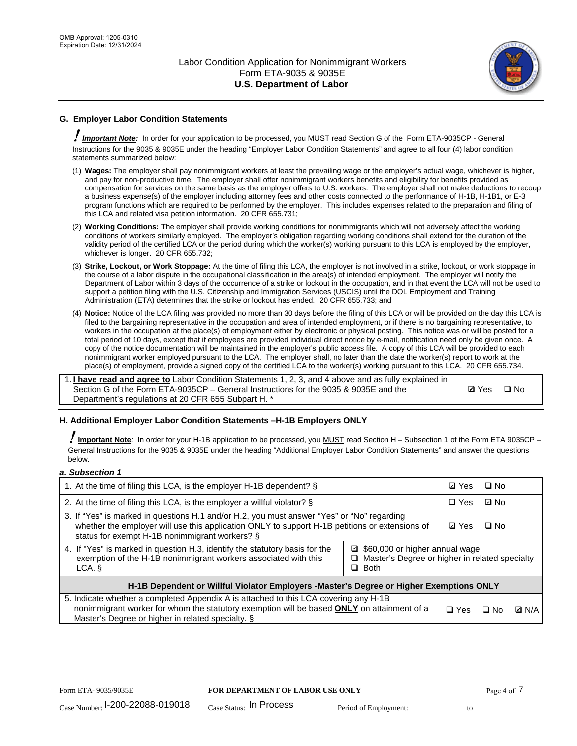

# **G. Employer Labor Condition Statements**

! *Important Note:* In order for your application to be processed, you MUST read Section G of the Form ETA-9035CP - General Instructions for the 9035 & 9035E under the heading "Employer Labor Condition Statements" and agree to all four (4) labor condition statements summarized below:

- (1) **Wages:** The employer shall pay nonimmigrant workers at least the prevailing wage or the employer's actual wage, whichever is higher, and pay for non-productive time. The employer shall offer nonimmigrant workers benefits and eligibility for benefits provided as compensation for services on the same basis as the employer offers to U.S. workers. The employer shall not make deductions to recoup a business expense(s) of the employer including attorney fees and other costs connected to the performance of H-1B, H-1B1, or E-3 program functions which are required to be performed by the employer. This includes expenses related to the preparation and filing of this LCA and related visa petition information. 20 CFR 655.731;
- (2) **Working Conditions:** The employer shall provide working conditions for nonimmigrants which will not adversely affect the working conditions of workers similarly employed. The employer's obligation regarding working conditions shall extend for the duration of the validity period of the certified LCA or the period during which the worker(s) working pursuant to this LCA is employed by the employer, whichever is longer. 20 CFR 655.732;
- (3) **Strike, Lockout, or Work Stoppage:** At the time of filing this LCA, the employer is not involved in a strike, lockout, or work stoppage in the course of a labor dispute in the occupational classification in the area(s) of intended employment. The employer will notify the Department of Labor within 3 days of the occurrence of a strike or lockout in the occupation, and in that event the LCA will not be used to support a petition filing with the U.S. Citizenship and Immigration Services (USCIS) until the DOL Employment and Training Administration (ETA) determines that the strike or lockout has ended. 20 CFR 655.733; and
- (4) **Notice:** Notice of the LCA filing was provided no more than 30 days before the filing of this LCA or will be provided on the day this LCA is filed to the bargaining representative in the occupation and area of intended employment, or if there is no bargaining representative, to workers in the occupation at the place(s) of employment either by electronic or physical posting. This notice was or will be posted for a total period of 10 days, except that if employees are provided individual direct notice by e-mail, notification need only be given once. A copy of the notice documentation will be maintained in the employer's public access file. A copy of this LCA will be provided to each nonimmigrant worker employed pursuant to the LCA. The employer shall, no later than the date the worker(s) report to work at the place(s) of employment, provide a signed copy of the certified LCA to the worker(s) working pursuant to this LCA. 20 CFR 655.734.

1. **I have read and agree to** Labor Condition Statements 1, 2, 3, and 4 above and as fully explained in Section G of the Form ETA-9035CP – General Instructions for the 9035 & 9035E and the Department's regulations at 20 CFR 655 Subpart H. \*

**Ø**Yes ロNo

## **H. Additional Employer Labor Condition Statements –H-1B Employers ONLY**

!**Important Note***:* In order for your H-1B application to be processed, you MUST read Section H – Subsection 1 of the Form ETA 9035CP – General Instructions for the 9035 & 9035E under the heading "Additional Employer Labor Condition Statements" and answer the questions below.

#### *a. Subsection 1*

| 1. At the time of filing this LCA, is the employer H-1B dependent? §                                                                                                                                                                                          | ⊡ Yes      | □ No       |              |  |
|---------------------------------------------------------------------------------------------------------------------------------------------------------------------------------------------------------------------------------------------------------------|------------|------------|--------------|--|
| 2. At the time of filing this LCA, is the employer a willful violator? $\S$                                                                                                                                                                                   |            | $\Box$ Yes | ⊡ No         |  |
| 3. If "Yes" is marked in questions H.1 and/or H.2, you must answer "Yes" or "No" regarding<br>whether the employer will use this application ONLY to support H-1B petitions or extensions of<br>status for exempt H-1B nonimmigrant workers? §                |            |            | $\Box$ No    |  |
| 4. If "Yes" is marked in question H.3, identify the statutory basis for the<br>■ \$60,000 or higher annual wage<br>exemption of the H-1B nonimmigrant workers associated with this<br>□ Master's Degree or higher in related specialty<br>$\Box$ Both<br>LCA. |            |            |              |  |
| H-1B Dependent or Willful Violator Employers -Master's Degree or Higher Exemptions ONLY                                                                                                                                                                       |            |            |              |  |
| 5. Indicate whether a completed Appendix A is attached to this LCA covering any H-1B<br>nonimmigrant worker for whom the statutory exemption will be based <b>ONLY</b> on attainment of a<br>Master's Degree or higher in related specialty. §                | $\Box$ Yes | ⊡ No       | <b>D</b> N/A |  |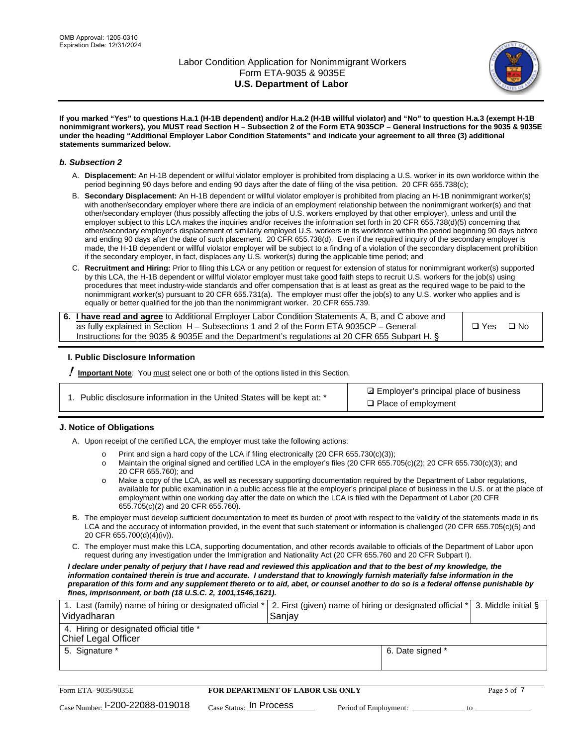

**If you marked "Yes" to questions H.a.1 (H-1B dependent) and/or H.a.2 (H-1B willful violator) and "No" to question H.a.3 (exempt H-1B nonimmigrant workers), you MUST read Section H – Subsection 2 of the Form ETA 9035CP – General Instructions for the 9035 & 9035E under the heading "Additional Employer Labor Condition Statements" and indicate your agreement to all three (3) additional statements summarized below.**

### *b. Subsection 2*

- A. **Displacement:** An H-1B dependent or willful violator employer is prohibited from displacing a U.S. worker in its own workforce within the period beginning 90 days before and ending 90 days after the date of filing of the visa petition. 20 CFR 655.738(c);
- B. **Secondary Displacement:** An H-1B dependent or willful violator employer is prohibited from placing an H-1B nonimmigrant worker(s) with another/secondary employer where there are indicia of an employment relationship between the nonimmigrant worker(s) and that other/secondary employer (thus possibly affecting the jobs of U.S. workers employed by that other employer), unless and until the employer subject to this LCA makes the inquiries and/or receives the information set forth in 20 CFR 655.738(d)(5) concerning that other/secondary employer's displacement of similarly employed U.S. workers in its workforce within the period beginning 90 days before and ending 90 days after the date of such placement. 20 CFR 655.738(d). Even if the required inquiry of the secondary employer is made, the H-1B dependent or willful violator employer will be subject to a finding of a violation of the secondary displacement prohibition if the secondary employer, in fact, displaces any U.S. worker(s) during the applicable time period; and
- C. **Recruitment and Hiring:** Prior to filing this LCA or any petition or request for extension of status for nonimmigrant worker(s) supported by this LCA, the H-1B dependent or willful violator employer must take good faith steps to recruit U.S. workers for the job(s) using procedures that meet industry-wide standards and offer compensation that is at least as great as the required wage to be paid to the nonimmigrant worker(s) pursuant to 20 CFR 655.731(a). The employer must offer the job(s) to any U.S. worker who applies and is equally or better qualified for the job than the nonimmigrant worker. 20 CFR 655.739.

| 6. I have read and agree to Additional Employer Labor Condition Statements A, B, and C above and |       |           |
|--------------------------------------------------------------------------------------------------|-------|-----------|
| as fully explained in Section H – Subsections 1 and 2 of the Form ETA 9035CP – General           | □ Yes | $\Box$ No |
| Instructions for the 9035 & 9035E and the Department's regulations at 20 CFR 655 Subpart H. §    |       |           |

## **I. Public Disclosure Information**

! **Important Note***:* You must select one or both of the options listed in this Section.

|  | 1. Public disclosure information in the United States will be kept at: * |  |  |  |
|--|--------------------------------------------------------------------------|--|--|--|
|  |                                                                          |  |  |  |

**sqrt** Employer's principal place of business □ Place of employment

## **J. Notice of Obligations**

A. Upon receipt of the certified LCA, the employer must take the following actions:

- o Print and sign a hard copy of the LCA if filing electronically (20 CFR 655.730(c)(3));<br>
Maintain the original signed and certified LCA in the employer's files (20 CFR 655.7
- Maintain the original signed and certified LCA in the employer's files (20 CFR 655.705(c)(2); 20 CFR 655.730(c)(3); and 20 CFR 655.760); and
- o Make a copy of the LCA, as well as necessary supporting documentation required by the Department of Labor regulations, available for public examination in a public access file at the employer's principal place of business in the U.S. or at the place of employment within one working day after the date on which the LCA is filed with the Department of Labor (20 CFR 655.705(c)(2) and 20 CFR 655.760).
- B. The employer must develop sufficient documentation to meet its burden of proof with respect to the validity of the statements made in its LCA and the accuracy of information provided, in the event that such statement or information is challenged (20 CFR 655.705(c)(5) and 20 CFR 655.700(d)(4)(iv)).
- C. The employer must make this LCA, supporting documentation, and other records available to officials of the Department of Labor upon request during any investigation under the Immigration and Nationality Act (20 CFR 655.760 and 20 CFR Subpart I).

*I declare under penalty of perjury that I have read and reviewed this application and that to the best of my knowledge, the*  information contained therein is true and accurate. I understand that to knowingly furnish materially false information in the *preparation of this form and any supplement thereto or to aid, abet, or counsel another to do so is a federal offense punishable by fines, imprisonment, or both (18 U.S.C. 2, 1001,1546,1621).*

| 1. Last (family) name of hiring or designated official *   2. First (given) name of hiring or designated official *   3. Middle initial §<br>Vidyadharan | Saniav           |  |
|----------------------------------------------------------------------------------------------------------------------------------------------------------|------------------|--|
| 4. Hiring or designated official title *<br>Chief Legal Officer                                                                                          |                  |  |
| 5. Signature *                                                                                                                                           | 6. Date signed * |  |

| Form ETA-9035/9035E                         | <b>FOR DEPARTMENT OF LABOR USE ONLY</b> |                       |  |
|---------------------------------------------|-----------------------------------------|-----------------------|--|
| $_{\text{Case Number:}}$ I-200-22088-019018 | $_{\rm Case~S status:}$ In Process      | Period of Employment: |  |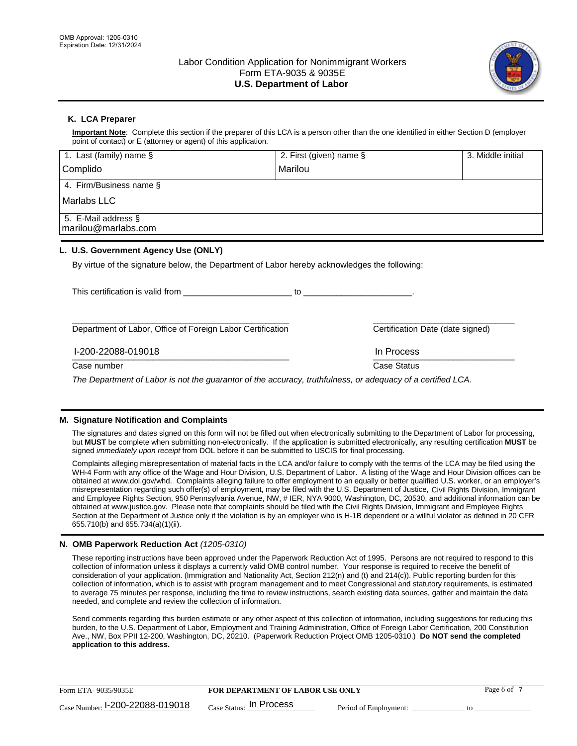

## **K. LCA Preparer**

**Important Note**: Complete this section if the preparer of this LCA is a person other than the one identified in either Section D (employer point of contact) or E (attorney or agent) of this application.

| 1. Last (family) name $\S$                                                                   | 2. First (given) name §                                                                                                                                                                                                        | 3. Middle initial                |
|----------------------------------------------------------------------------------------------|--------------------------------------------------------------------------------------------------------------------------------------------------------------------------------------------------------------------------------|----------------------------------|
| Complido                                                                                     | Marilou                                                                                                                                                                                                                        |                                  |
| 4. Firm/Business name §                                                                      |                                                                                                                                                                                                                                |                                  |
| Marlabs LLC                                                                                  |                                                                                                                                                                                                                                |                                  |
| 5. E-Mail address §<br>marilou@marlabs.com                                                   |                                                                                                                                                                                                                                |                                  |
| L. U.S. Government Agency Use (ONLY)                                                         |                                                                                                                                                                                                                                |                                  |
| By virtue of the signature below, the Department of Labor hereby acknowledges the following: |                                                                                                                                                                                                                                |                                  |
| This certification is valid from                                                             | to the contract of the contract of the contract of the contract of the contract of the contract of the contract of the contract of the contract of the contract of the contract of the contract of the contract of the contrac |                                  |
| Department of Labor, Office of Foreign Labor Certification                                   |                                                                                                                                                                                                                                | Certification Date (date signed) |

 $\frac{1111100688}{1111100688}$ I-200-22088-019018 In Process

Case number **Case Status** Case Status **Case Status** 

*The Department of Labor is not the guarantor of the accuracy, truthfulness, or adequacy of a certified LCA.*

## **M. Signature Notification and Complaints**

The signatures and dates signed on this form will not be filled out when electronically submitting to the Department of Labor for processing, but **MUST** be complete when submitting non-electronically. If the application is submitted electronically, any resulting certification **MUST** be signed *immediately upon receipt* from DOL before it can be submitted to USCIS for final processing.

Complaints alleging misrepresentation of material facts in the LCA and/or failure to comply with the terms of the LCA may be filed using the WH-4 Form with any office of the Wage and Hour Division, U.S. Department of Labor. A listing of the Wage and Hour Division offices can be obtained at www.dol.gov/whd. Complaints alleging failure to offer employment to an equally or better qualified U.S. worker, or an employer's misrepresentation regarding such offer(s) of employment, may be filed with the U.S. Department of Justice, Civil Rights Division, Immigrant and Employee Rights Section, 950 Pennsylvania Avenue, NW, # IER, NYA 9000, Washington, DC, 20530, and additional information can be obtained at www.justice.gov. Please note that complaints should be filed with the Civil Rights Division, Immigrant and Employee Rights Section at the Department of Justice only if the violation is by an employer who is H-1B dependent or a willful violator as defined in 20 CFR 655.710(b) and 655.734(a)(1)(ii).

## **N. OMB Paperwork Reduction Act** *(1205-0310)*

These reporting instructions have been approved under the Paperwork Reduction Act of 1995. Persons are not required to respond to this collection of information unless it displays a currently valid OMB control number. Your response is required to receive the benefit of consideration of your application. (Immigration and Nationality Act, Section 212(n) and (t) and 214(c)). Public reporting burden for this collection of information, which is to assist with program management and to meet Congressional and statutory requirements, is estimated to average 75 minutes per response, including the time to review instructions, search existing data sources, gather and maintain the data needed, and complete and review the collection of information.

Send comments regarding this burden estimate or any other aspect of this collection of information, including suggestions for reducing this burden, to the U.S. Department of Labor, Employment and Training Administration, Office of Foreign Labor Certification, 200 Constitution Ave., NW, Box PPII 12-200, Washington, DC, 20210. (Paperwork Reduction Project OMB 1205-0310.) **Do NOT send the completed application to this address.**

| Form ETA-9035/9035E                         | <b>FOR DEPARTMENT OF LABOR USE ONLY</b> | Page 6 of             |  |
|---------------------------------------------|-----------------------------------------|-----------------------|--|
| $_{\text{Case Number:}}$ I-200-22088-019018 | $_{\text{Case Status:}}$ In Process     | Period of Employment: |  |